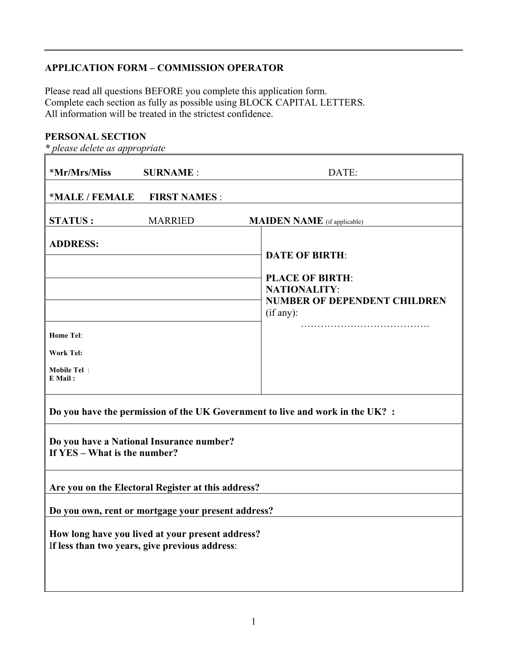# **APPLICATION FORM – COMMISSION OPERATOR**

Please read all questions BEFORE you complete this application form. Complete each section as fully as possible using BLOCK CAPITAL LETTERS. All information will be treated in the strictest confidence.

#### **PERSONAL SECTION**

*\* please delete as appropriate*

| *Mr/Mrs/Miss                                                             | <b>SURNAME:</b>                                                                                    | DATE:                                                                                                               |  |
|--------------------------------------------------------------------------|----------------------------------------------------------------------------------------------------|---------------------------------------------------------------------------------------------------------------------|--|
| *MALE / FEMALE                                                           | <b>FIRST NAMES:</b>                                                                                |                                                                                                                     |  |
| <b>STATUS:</b>                                                           | <b>MARRIED</b>                                                                                     | <b>MAIDEN NAME</b> (if applicable)                                                                                  |  |
| <b>ADDRESS:</b>                                                          |                                                                                                    | <b>DATE OF BIRTH:</b><br><b>PLACE OF BIRTH:</b><br>NATIONALITY:<br><b>NUMBER OF DEPENDENT CHILDREN</b><br>(if any): |  |
| <b>Home Tel:</b>                                                         |                                                                                                    |                                                                                                                     |  |
| Work Tel:<br><b>Mobile Tel:</b><br>E Mail:                               |                                                                                                    |                                                                                                                     |  |
|                                                                          |                                                                                                    | Do you have the permission of the UK Government to live and work in the UK? :                                       |  |
| Do you have a National Insurance number?<br>If YES - What is the number? |                                                                                                    |                                                                                                                     |  |
|                                                                          | Are you on the Electoral Register at this address?                                                 |                                                                                                                     |  |
|                                                                          | Do you own, rent or mortgage your present address?                                                 |                                                                                                                     |  |
|                                                                          | How long have you lived at your present address?<br>If less than two years, give previous address: |                                                                                                                     |  |
|                                                                          |                                                                                                    |                                                                                                                     |  |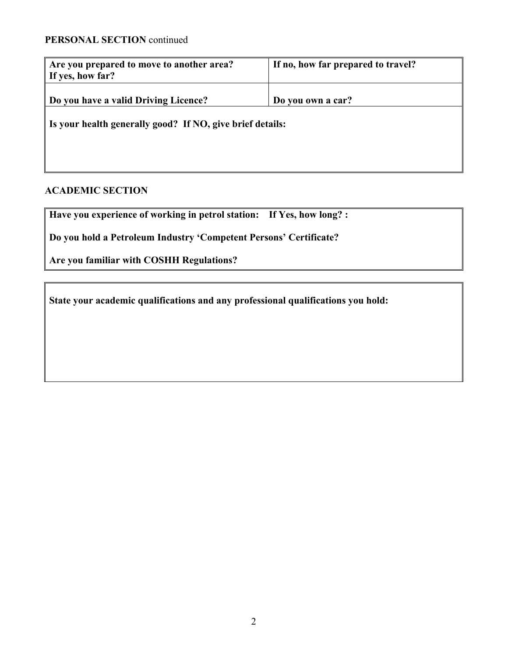## **PERSONAL SECTION** continued

| Are you prepared to move to another area?<br>If yes, how far? | If no, how far prepared to travel? |  |
|---------------------------------------------------------------|------------------------------------|--|
| Do you have a valid Driving Licence?                          | Do you own a car?                  |  |
| Is your health generally good? If NO, give brief details:     |                                    |  |
|                                                               |                                    |  |
|                                                               |                                    |  |

### **ACADEMIC SECTION**

**Have you experience of working in petrol station: If Yes, how long? :** 

**Do you hold a Petroleum Industry 'Competent Persons' Certificate?** 

**Are you familiar with COSHH Regulations?** 

**State your academic qualifications and any professional qualifications you hold:**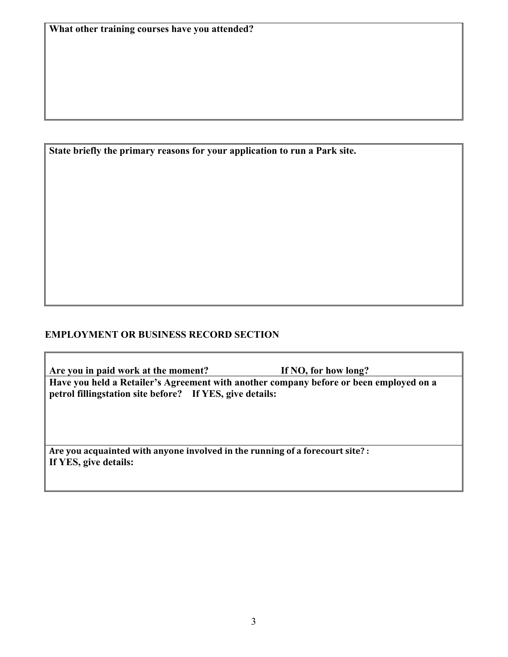**State briefly the primary reasons for your application to run a Park site.**

#### **EMPLOYMENT OR BUSINESS RECORD SECTION**

**Are you in paid work at the moment? If NO, for how long? Have you held a Retailer's Agreement with another company before or been employed on a petrol fillingstation site before? If YES, give details:**

Are you acquainted with anyone involved in the running of a forecourt site? **: If YES, give details:**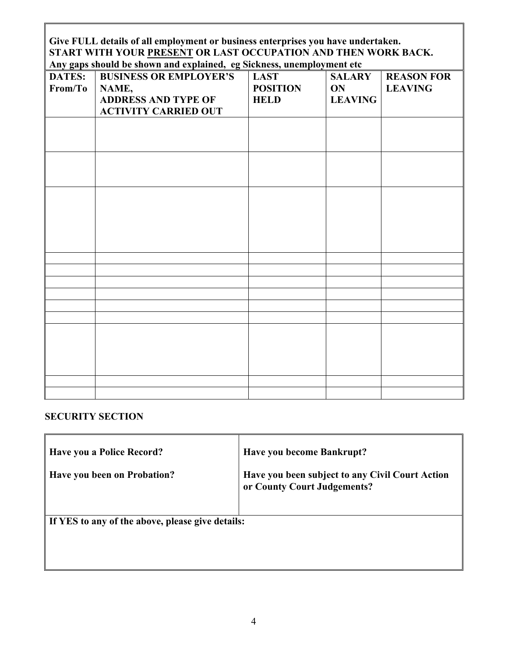#### **Give FULL details of all employment or business enterprises you have undertaken. START WITH YOUR PRESENT OR LAST OCCUPATION AND THEN WORK BACK. Any gaps should be shown and explained, eg Sickness, unemployment etc**

|               | Any gaps should be shown and explained, eg Sickhess, unemployment etc |                 |                |                   |
|---------------|-----------------------------------------------------------------------|-----------------|----------------|-------------------|
| <b>DATES:</b> | <b>BUSINESS OR EMPLOYER'S</b>                                         | <b>LAST</b>     | <b>SALARY</b>  | <b>REASON FOR</b> |
| From/To       | NAME,                                                                 | <b>POSITION</b> | ON             | <b>LEAVING</b>    |
|               | <b>ADDRESS AND TYPE OF</b>                                            | <b>HELD</b>     | <b>LEAVING</b> |                   |
|               | <b>ACTIVITY CARRIED OUT</b>                                           |                 |                |                   |
|               |                                                                       |                 |                |                   |
|               |                                                                       |                 |                |                   |
|               |                                                                       |                 |                |                   |
|               |                                                                       |                 |                |                   |
|               |                                                                       |                 |                |                   |
|               |                                                                       |                 |                |                   |
|               |                                                                       |                 |                |                   |
|               |                                                                       |                 |                |                   |
|               |                                                                       |                 |                |                   |
|               |                                                                       |                 |                |                   |
|               |                                                                       |                 |                |                   |
|               |                                                                       |                 |                |                   |
|               |                                                                       |                 |                |                   |
|               |                                                                       |                 |                |                   |
|               |                                                                       |                 |                |                   |
|               |                                                                       |                 |                |                   |
|               |                                                                       |                 |                |                   |
|               |                                                                       |                 |                |                   |
|               |                                                                       |                 |                |                   |
|               |                                                                       |                 |                |                   |
|               |                                                                       |                 |                |                   |
|               |                                                                       |                 |                |                   |
|               |                                                                       |                 |                |                   |
|               |                                                                       |                 |                |                   |
|               |                                                                       |                 |                |                   |

#### **SECURITY SECTION**

| <b>Have you a Police Record?</b>                 | Have you become Bankrupt?                                                      |
|--------------------------------------------------|--------------------------------------------------------------------------------|
| <b>Have you been on Probation?</b>               | Have you been subject to any Civil Court Action<br>or County Court Judgements? |
| If YES to any of the above, please give details: |                                                                                |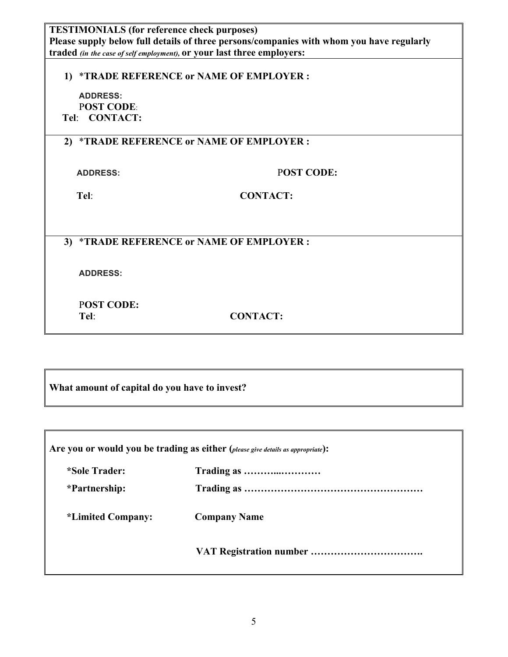| <b>TESTIMONIALS</b> (for reference check purposes)                     |                                                                                          |
|------------------------------------------------------------------------|------------------------------------------------------------------------------------------|
|                                                                        | Please supply below full details of three persons/companies with whom you have regularly |
| traded (in the case of self employment), or your last three employers: |                                                                                          |
|                                                                        |                                                                                          |
| 1) *TRADE REFERENCE or NAME OF EMPLOYER :                              |                                                                                          |
| <b>ADDRESS:</b>                                                        |                                                                                          |
| <b>POST CODE:</b>                                                      |                                                                                          |
| Tel: CONTACT:                                                          |                                                                                          |
|                                                                        |                                                                                          |
| 2) *TRADE REFERENCE or NAME OF EMPLOYER :                              |                                                                                          |
|                                                                        |                                                                                          |
|                                                                        | <b>POST CODE:</b>                                                                        |
| <b>ADDRESS:</b>                                                        |                                                                                          |
| Tel:                                                                   | <b>CONTACT:</b>                                                                          |
|                                                                        |                                                                                          |
|                                                                        |                                                                                          |
|                                                                        |                                                                                          |
| 3) *TRADE REFERENCE or NAME OF EMPLOYER :                              |                                                                                          |
|                                                                        |                                                                                          |
| <b>ADDRESS:</b>                                                        |                                                                                          |
|                                                                        |                                                                                          |
|                                                                        |                                                                                          |
| <b>POST CODE:</b>                                                      |                                                                                          |
| Tel:                                                                   | <b>CONTACT:</b>                                                                          |
|                                                                        |                                                                                          |

**What amount of capital do you have to invest?**

| Are you or would you be trading as either (please give details as appropriate): |                     |
|---------------------------------------------------------------------------------|---------------------|
| *Sole Trader:                                                                   | Trading as          |
| *Partnership:                                                                   |                     |
| <i>*Limited Company:</i>                                                        | <b>Company Name</b> |
|                                                                                 |                     |